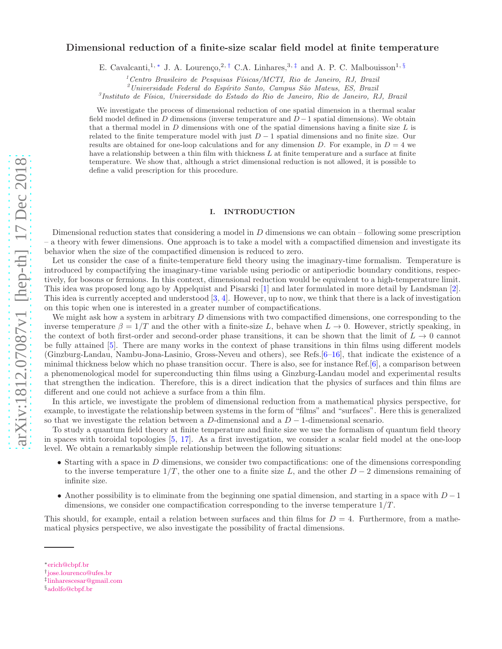# arXiv:1812.07087v1 [hep-th] 17 Dec 2018 [arXiv:1812.07087v1 \[hep-th\] 17 Dec 2018](http://arxiv.org/abs/1812.07087v1)

# Dimensional reduction of a finite-size scalar field model at finite temperature

E. Cavalcanti,<sup>1,\*</sup> J. A. Lourenço,<sup>2,[†](#page-0-1)</sup> C.A. Linhares,<sup>3,[‡](#page-0-2)</sup> and A. P. C. Malbouisson<sup>1,[§](#page-0-3)</sup>

<sup>1</sup> Centro Brasileiro de Pesquisas Físicas/MCTI, Rio de Janeiro, RJ, Brazil

<sup>2</sup>*Universidade Federal do Esp´ırito Santo, Campus S˜ao Mateus, ES, Brazil*

3 *Instituto de F´ısica, Universidade do Estado do Rio de Janeiro, Rio de Janeiro, RJ, Brazil*

We investigate the process of dimensional reduction of one spatial dimension in a thermal scalar field model defined in D dimensions (inverse temperature and  $D-1$  spatial dimensions). We obtain that a thermal model in  $D$  dimensions with one of the spatial dimensions having a finite size  $L$  is related to the finite temperature model with just  $D-1$  spatial dimensions and no finite size. Our results are obtained for one-loop calculations and for any dimension D. For example, in  $D = 4$  we have a relationship between a thin film with thickness  $L$  at finite temperature and a surface at finite temperature. We show that, although a strict dimensional reduction is not allowed, it is possible to define a valid prescription for this procedure.

# I. INTRODUCTION

Dimensional reduction states that considering a model in  $D$  dimensions we can obtain – following some prescription – a theory with fewer dimensions. One approach is to take a model with a compactified dimension and investigate its behavior when the size of the compactified dimension is reduced to zero.

Let us consider the case of a finite-temperature field theory using the imaginary-time formalism. Temperature is introduced by compactifying the imaginary-time variable using periodic or antiperiodic boundary conditions, respectively, for bosons or fermions. In this context, dimensional reduction would be equivalent to a high-temperature limit. This idea was proposed long ago by Appelquist and Pisarski [\[1\]](#page-8-0) and later formulated in more detail by Landsman [\[2\]](#page-8-1). This idea is currently accepted and understood [\[3](#page-8-2), [4](#page-8-3)]. However, up to now, we think that there is a lack of investigation on this topic when one is interested in a greater number of compactifications.

We might ask how a system in arbitrary  $D$  dimensions with two compactified dimensions, one corresponding to the inverse temperature  $\beta = 1/T$  and the other with a finite-size L, behave when  $L \to 0$ . However, strictly speaking, in the context of both first-order and second-order phase transitions, it can be shown that the limit of  $L \to 0$  cannot be fully attained [\[5\]](#page-8-4). There are many works in the context of phase transitions in thin films using different models (Ginzburg-Landau, Nambu-Jona-Lasinio, Gross-Neveu and others), see Refs.[\[6](#page-8-5)[–16\]](#page-9-0), that indicate the existence of a minimal thickness below which no phase transition occur. There is also, see for instance Ref.[\[6\]](#page-8-5), a comparison between a phenomenological model for superconducting thin films using a Ginzburg-Landau model and experimental results that strengthen the indication. Therefore, this is a direct indication that the physics of surfaces and thin films are different and one could not achieve a surface from a thin film.

In this article, we investigate the problem of dimensional reduction from a mathematical physics perspective, for example, to investigate the relationship between systems in the form of "films" and "surfaces". Here this is generalized so that we investigate the relation between a D-dimensional and a  $D-1$ -dimensional scenario.

To study a quantum field theory at finite temperature and finite size we use the formalism of quantum field theory in spaces with toroidal topologies [\[5,](#page-8-4) [17\]](#page-9-1). As a first investigation, we consider a scalar field model at the one-loop level. We obtain a remarkably simple relationship between the following situations:

- Starting with a space in  $D$  dimensions, we consider two compactifications: one of the dimensions corresponding to the inverse temperature  $1/T$ , the other one to a finite size L, and the other  $D-2$  dimensions remaining of infinite size.
- Another possibility is to eliminate from the beginning one spatial dimension, and starting in a space with  $D-1$ dimensions, we consider one compactification corresponding to the inverse temperature  $1/T$ .

This should, for example, entail a relation between surfaces and thin films for  $D = 4$ . Furthermore, from a mathematical physics perspective, we also investigate the possibility of fractal dimensions.

<span id="page-0-0"></span><sup>∗</sup>[erich@cbpf.br](mailto:erich@cbpf.br)

<span id="page-0-1"></span><sup>†</sup> [jose.lourenco@ufes.br](mailto:jose.lourenco@ufes.br)

<span id="page-0-2"></span><sup>‡</sup> [linharescesar@gmail.com](mailto:linharescesar@gmail.com)

<span id="page-0-3"></span><sup>§</sup>[adolfo@cbpf.br](mailto:adolfo@cbpf.br)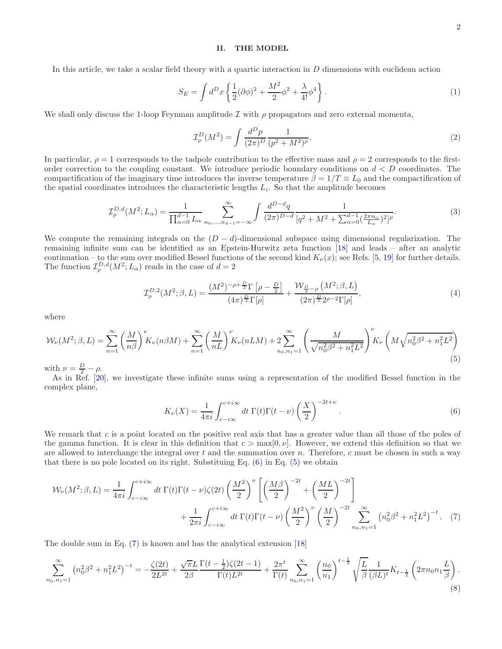# II. THE MODEL

In this article, we take a scalar field theory with a quartic interaction in D dimensions with euclidean action

$$
S_E = \int d^D x \left\{ \frac{1}{2} (\partial \phi)^2 + \frac{M^2}{2} \phi^2 + \frac{\lambda}{4!} \phi^4 \right\}.
$$
 (1)

We shall only discuss the 1-loop Feynman amplitude I with  $\rho$  propagators and zero external momenta,

$$
\mathcal{I}^{D}_{\rho}(M^{2}) = \int \frac{d^{D}p}{(2\pi)^{D}} \frac{1}{(p^{2} + M^{2})^{\rho}}.
$$
\n(2)

In particular,  $\rho = 1$  corresponds to the tadpole contribution to the effective mass and  $\rho = 2$  corresponds to the firstorder correction to the coupling constant. We introduce periodic boundary conditions on  $d < D$  coordinates. The compactification of the imaginary time introduces the inverse temperature  $\beta = 1/T \equiv L_0$  and the compactification of the spatial coordinates introduces the characteristic lengths  $L_i$ . So that the amplitude becomes

$$
\mathcal{I}_{\rho}^{D,d}(M^2; L_{\alpha}) = \frac{1}{\prod_{\alpha=0}^{d-1} L_{\alpha}} \sum_{n_0, \dots, n_{d-1} = -\infty}^{\infty} \int \frac{d^{D-d}q}{(2\pi)^{D-d}} \frac{1}{[q^2 + M^2 + \sum_{\alpha=0}^{d-1} (\frac{2\pi n_{\alpha}}{L_{\alpha}})^2]^{\rho}}.
$$
(3)

We compute the remaining integrals on the  $(D - d)$ -dimensional subspace using dimensional regularization. The remaining infinite sum can be identified as an Epstein-Hurwitz zeta function [\[18\]](#page-9-2) and leads – after an analytic continuation – to the sum over modified Bessel functions of the second kind  $K_{\nu}(x)$ ; see Refs. [\[5](#page-8-4), [19\]](#page-9-3) for further details. The function  $\mathcal{I}_{\rho}^{D,d}(M^2;L_{\alpha})$  reads in the case of  $d=2$ 

<span id="page-1-4"></span>
$$
\mathcal{I}_{\rho}^{D,2}(M^2;\beta,L) = \frac{(M^2)^{-\rho + \frac{D}{2}}\Gamma\left[\rho - \frac{D}{2}\right]}{(4\pi)^{\frac{D}{2}}\Gamma[\rho]} + \frac{\mathcal{W}_{\frac{D}{2}-\rho}\left(M^2;\beta,L\right)}{(2\pi)^{\frac{D}{2}}2^{\rho - 2}\Gamma[\rho]},\tag{4}
$$

where

<span id="page-1-1"></span>
$$
W_{\nu}(M^{2};\beta,L) = \sum_{n=1}^{\infty} \left(\frac{M}{n\beta}\right)^{\nu} K_{\nu}(n\beta M) + \sum_{n=1}^{\infty} \left(\frac{M}{nL}\right)^{\nu} K_{\nu}(nLM) + 2 \sum_{n_{0},n_{1}=1}^{\infty} \left(\frac{M}{\sqrt{n_{0}^{2}\beta^{2} + n_{1}^{2}L^{2}}}\right)^{\nu} K_{\nu}\left(M\sqrt{n_{0}^{2}\beta^{2} + n_{1}^{2}L^{2}}\right)
$$
\n(5)

with  $\nu = \frac{D}{2} - \rho$ .

As in Ref. [\[20\]](#page-9-4), we investigate these infinite sums using a representation of the modified Bessel function in the complex plane,

<span id="page-1-2"></span><span id="page-1-0"></span>
$$
K_{\nu}(X) = \frac{1}{4\pi i} \int_{c-i\infty}^{c+i\infty} dt \ \Gamma(t)\Gamma(t-\nu) \left(\frac{X}{2}\right)^{-2t+\nu}.
$$
 (6)

We remark that  $c$  is a point located on the positive real axis that has a greater value than all those of the poles of the gamma function. It is clear in this definition that  $c > \max[0, \nu]$ . However, we extend this definition so that we are allowed to interchange the integral over  $t$  and the summation over  $n$ . Therefore,  $c$  must be chosen in such a way that there is no pole located on its right. Substituing Eq.  $(6)$  in Eq.  $(5)$  we obtain

$$
\mathcal{W}_{\nu}(M^{2};\beta,L) = \frac{1}{4\pi i} \int_{c-i\infty}^{c+i\infty} dt \ \Gamma(t)\Gamma(t-\nu)\zeta(2t) \left(\frac{M^{2}}{2}\right)^{\nu} \left[\left(\frac{M\beta}{2}\right)^{-2t} + \left(\frac{ML}{2}\right)^{-2t}\right] + \frac{1}{2\pi i} \int_{c-i\infty}^{c+i\infty} dt \ \Gamma(t)\Gamma(t-\nu) \left(\frac{M^{2}}{2}\right)^{\nu} \left(\frac{M}{2}\right)^{-2t} \sum_{n_{0},n_{1}=1}^{\infty} \left(n_{0}^{2}\beta^{2} + n_{1}^{2}L^{2}\right)^{-t} . \tag{7}
$$

The double sum in Eq. [\(7\)](#page-1-2) is known and has the analytical extension [\[18\]](#page-9-2)

<span id="page-1-3"></span>
$$
\sum_{n_0, n_1=1}^{\infty} \left( n_0^2 \beta^2 + n_1^2 L^2 \right)^{-t} = -\frac{\zeta(2t)}{2L^{2t}} + \frac{\sqrt{\pi}L}{2\beta} \frac{\Gamma(t-\frac{1}{2})\zeta(2t-1)}{\Gamma(t)L^{2t}} + \frac{2\pi^t}{\Gamma(t)} \sum_{n_0, n_1=1}^{\infty} \left( \frac{n_0}{n_1} \right)^{t-\frac{1}{2}} \sqrt{\frac{L}{\beta}} \frac{1}{(\beta L)^t} K_{t-\frac{1}{2}} \left( 2\pi n_0 n_1 \frac{L}{\beta} \right). \tag{8}
$$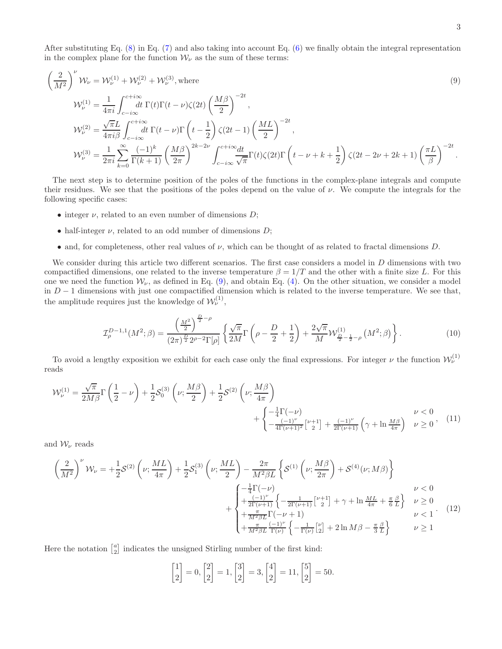After substituting Eq.  $(8)$  in Eq.  $(7)$  and also taking into account Eq.  $(6)$  we finally obtain the integral representation in the complex plane for the function  $W_{\nu}$  as the sum of these terms:

<span id="page-2-0"></span>
$$
\left(\frac{2}{M^2}\right)^{\nu} \mathcal{W}_{\nu} = \mathcal{W}_{\nu}^{(1)} + \mathcal{W}_{\nu}^{(2)} + \mathcal{W}_{\nu}^{(3)}, \text{where}
$$
\n
$$
\mathcal{W}_{\nu}^{(1)} = \frac{1}{4\pi i} \int_{c-i\infty}^{c+i\infty} dt \ \Gamma(t)\Gamma(t-\nu)\zeta(2t) \left(\frac{M\beta}{2}\right)^{-2t},
$$
\n
$$
\mathcal{W}_{\nu}^{(2)} = \frac{\sqrt{\pi}L}{4\pi i\beta} \int_{c-i\infty}^{c+i\infty} dt \ \Gamma(t-\nu)\Gamma\left(t-\frac{1}{2}\right)\zeta(2t-1) \left(\frac{ML}{2}\right)^{-2t},
$$
\n
$$
\mathcal{W}_{\nu}^{(3)} = \frac{1}{2\pi i} \sum_{k=0}^{\infty} \frac{(-1)^k}{\Gamma(k+1)} \left(\frac{M\beta}{2\pi}\right)^{2k-2\nu} \int_{c-i\infty}^{c+i\infty} \frac{dt}{\sqrt{\pi}} \Gamma(t)\zeta(2t)\Gamma\left(t-\nu+k+\frac{1}{2}\right)\zeta(2t-2\nu+2k+1) \left(\frac{\pi L}{\beta}\right)^{-2t}.
$$
\n(9)

The next step is to determine position of the poles of the functions in the complex-plane integrals and compute their residues. We see that the positions of the poles depend on the value of  $\nu$ . We compute the integrals for the following specific cases:

- integer  $\nu$ , related to an even number of dimensions  $D$ ;
- half-integer  $\nu$ , related to an odd number of dimensions  $D$ ;
- and, for completeness, other real values of  $\nu$ , which can be thought of as related to fractal dimensions D.

We consider during this article two different scenarios. The first case considers a model in D dimensions with two compactified dimensions, one related to the inverse temperature  $\beta = 1/T$  and the other with a finite size L. For this one we need the function  $W_{\nu}$ , as defined in Eq. [\(9\)](#page-2-0), and obtain Eq. [\(4\)](#page-1-4). On the other situation, we consider a model in  $D-1$  dimensions with just one compactified dimension which is related to the inverse temperature. We see that, the amplitude requires just the knowledge of  $\mathcal{W}_{\nu}^{(1)}$ ,

<span id="page-2-1"></span>
$$
\mathcal{I}_{\rho}^{D-1,1}(M^2;\beta) = \frac{\left(\frac{M^2}{2}\right)^{\frac{D}{2}-\rho}}{(2\pi)^{\frac{D}{2}}2^{\rho-2}\Gamma[\rho]} \left\{ \frac{\sqrt{\pi}}{2M} \Gamma\left(\rho - \frac{D}{2} + \frac{1}{2}\right) + \frac{2\sqrt{\pi}}{M} \mathcal{W}_{\frac{D}{2}-\frac{1}{2}-\rho}^{(1)}\left(M^2;\beta\right) \right\}.
$$
 (10)

To avoid a lengthy exposition we exhibit for each case only the final expressions. For integer  $\nu$  the function  $\mathcal{W}_{\nu}^{(1)}$ reads

$$
\mathcal{W}_{\nu}^{(1)} = \frac{\sqrt{\pi}}{2M\beta} \Gamma\left(\frac{1}{2} - \nu\right) + \frac{1}{2} \mathcal{S}_{0}^{(3)}\left(\nu; \frac{M\beta}{2}\right) + \frac{1}{2} \mathcal{S}^{(2)}\left(\nu; \frac{M\beta}{4\pi}\right) + \begin{cases} -\frac{1}{4} \Gamma(-\nu) \\ -\frac{1}{4} \Gamma(\nu+1)^{2} \left[\nu+1\right] + \frac{(-1)^{\nu}}{2\Gamma(\nu+1)} \left(\gamma + \ln \frac{M\beta}{4\pi}\right) & \nu \ge 0 \end{cases}
$$
 (11)

and  $\mathcal{W}_{\nu}$  reads

$$
\left(\frac{2}{M^2}\right)^{\nu} \mathcal{W}_{\nu} = +\frac{1}{2}\mathcal{S}^{(2)}\left(\nu;\frac{ML}{4\pi}\right) + \frac{1}{2}\mathcal{S}^{(3)}_1\left(\nu;\frac{ML}{2}\right) - \frac{2\pi}{M^2\beta L}\left\{\mathcal{S}^{(1)}\left(\nu;\frac{M\beta}{2\pi}\right) + \mathcal{S}^{(4)}(\nu;M\beta)\right\}
$$
\n
$$
+ \begin{cases}\n-\frac{1}{4}\Gamma(-\nu) & \nu < 0 \\
+\frac{(-1)^{\nu}}{2\Gamma(\nu+1)}\left\{-\frac{1}{2\Gamma(\nu+1)}\left[\nu+1\right] + \gamma + \ln\frac{ML}{4\pi} + \frac{\pi}{6}\frac{\beta}{L}\right\} & \nu \ge 0 \\
+\frac{\pi}{M^2\beta L}\Gamma(-\nu+1) & \nu < 1\n\end{cases} (12)
$$
\n
$$
+ \begin{cases}\n-\frac{1}{4}\Gamma(-\nu) & \nu < 0 \\
+\frac{\pi}{M^2\beta L}\Gamma(-\nu+1) & \nu < 1\n\end{cases}
$$

Here the notation  $\begin{bmatrix} a \\ 2 \end{bmatrix}$  indicates the unsigned Stirling number of the first kind:

<span id="page-2-3"></span><span id="page-2-2"></span>
$$
\begin{bmatrix} 1 \\ 2 \end{bmatrix} = 0, \begin{bmatrix} 2 \\ 2 \end{bmatrix} = 1, \begin{bmatrix} 3 \\ 2 \end{bmatrix} = 3, \begin{bmatrix} 4 \\ 2 \end{bmatrix} = 11, \begin{bmatrix} 5 \\ 2 \end{bmatrix} = 50.
$$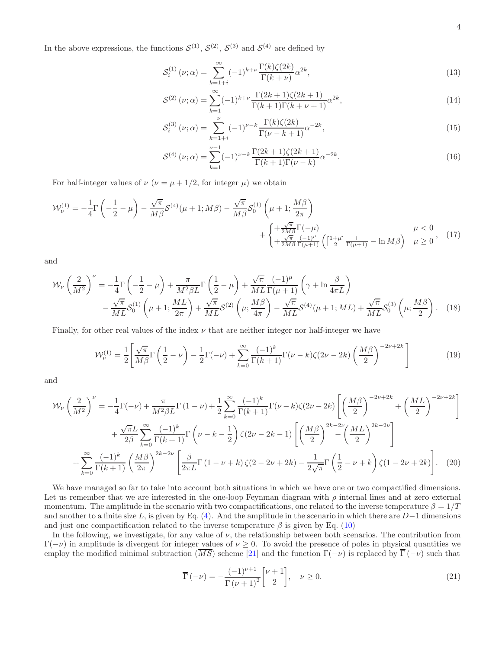In the above expressions, the functions  $S^{(1)}$ ,  $S^{(2)}$ ,  $S^{(3)}$  and  $S^{(4)}$  are defined by

$$
\mathcal{S}_i^{(1)}\left(\nu;\alpha\right) = \sum_{k=1+i}^{\infty} (-1)^{k+\nu} \frac{\Gamma(k)\zeta(2k)}{\Gamma(k+\nu)} \alpha^{2k},\tag{13}
$$

$$
S^{(2)}(\nu;\alpha) = \sum_{k=1}^{\infty} (-1)^{k+\nu} \frac{\Gamma(2k+1)\zeta(2k+1)}{\Gamma(k+1)\Gamma(k+\nu+1)} \alpha^{2k},\tag{14}
$$

$$
S_i^{(3)}(\nu;\alpha) = \sum_{k=1+i}^{\nu} (-1)^{\nu-k} \frac{\Gamma(k)\zeta(2k)}{\Gamma(\nu-k+1)} \alpha^{-2k},\tag{15}
$$

<span id="page-3-1"></span><span id="page-3-0"></span>
$$
S^{(4)}(\nu;\alpha) = \sum_{k=1}^{\nu-1} (-1)^{\nu-k} \frac{\Gamma(2k+1)\zeta(2k+1)}{\Gamma(k+1)\Gamma(\nu-k)} \alpha^{-2k}.
$$
 (16)

For half-integer values of  $\nu$  ( $\nu = \mu + 1/2$ , for integer  $\mu$ ) we obtain

$$
\mathcal{W}_{\nu}^{(1)} = -\frac{1}{4}\Gamma\left(-\frac{1}{2} - \mu\right) - \frac{\sqrt{\pi}}{M\beta}\mathcal{S}^{(4)}(\mu + 1; M\beta) - \frac{\sqrt{\pi}}{M\beta}\mathcal{S}_{0}^{(1)}\left(\mu + 1; \frac{M\beta}{2\pi}\right) + \begin{cases} +\frac{\sqrt{\pi}}{2M\beta}\Gamma(-\mu) \\ +\frac{\sqrt{\pi}}{2M\beta}\frac{(-1)^{\mu}}{\Gamma(\mu + 1)}\left(\begin{bmatrix}1+\mu\\2\end{bmatrix}\frac{1}{\Gamma(\mu + 1)} - \ln M\beta\right) & \mu \ge 0, \end{cases}
$$
(17)

and

$$
\mathcal{W}_{\nu}\left(\frac{2}{M^2}\right)^{\nu} = -\frac{1}{4}\Gamma\left(-\frac{1}{2}-\mu\right) + \frac{\pi}{M^2\beta L}\Gamma\left(\frac{1}{2}-\mu\right) + \frac{\sqrt{\pi}}{ML}\frac{(-1)^{\mu}}{\Gamma(\mu+1)}\left(\gamma + \ln\frac{\beta}{4\pi L}\right) \n- \frac{\sqrt{\pi}}{ML}\mathcal{S}_0^{(1)}\left(\mu+1;\frac{ML}{2\pi}\right) + \frac{\sqrt{\pi}}{ML}\mathcal{S}^{(2)}\left(\mu;\frac{M\beta}{4\pi}\right) - \frac{\sqrt{\pi}}{ML}\mathcal{S}^{(4)}(\mu+1;ML) + \frac{\sqrt{\pi}}{ML}\mathcal{S}_0^{(3)}\left(\mu;\frac{M\beta}{2}\right). \tag{18}
$$

Finally, for other real values of the index  $\nu$  that are neither integer nor half-integer we have

<span id="page-3-4"></span>
$$
\mathcal{W}_{\nu}^{(1)} = \frac{1}{2} \left[ \frac{\sqrt{\pi}}{M\beta} \Gamma\left(\frac{1}{2} - \nu\right) - \frac{1}{2} \Gamma(-\nu) + \sum_{k=0}^{\infty} \frac{(-1)^k}{\Gamma(k+1)} \Gamma(\nu-k) \zeta(2\nu-2k) \left(\frac{M\beta}{2}\right)^{-2\nu+2k} \right]
$$
(19)

and

$$
\mathcal{W}_{\nu}\left(\frac{2}{M^{2}}\right)^{\nu} = -\frac{1}{4}\Gamma(-\nu) + \frac{\pi}{M^{2}\beta L}\Gamma(1-\nu) + \frac{1}{2}\sum_{k=0}^{\infty}\frac{(-1)^{k}}{\Gamma(k+1)}\Gamma(\nu-k)\zeta(2\nu-2k)\left[\left(\frac{M\beta}{2}\right)^{-2\nu+2k} + \left(\frac{ML}{2}\right)^{-2\nu+2k}\right] + \frac{\sqrt{\pi}L}{2\beta}\sum_{k=0}^{\infty}\frac{(-1)^{k}}{\Gamma(k+1)}\Gamma\left(\nu-k-\frac{1}{2}\right)\zeta(2\nu-2k-1)\left[\left(\frac{M\beta}{2}\right)^{2k-2\nu}\left(\frac{ML}{2}\right)^{2k-2\nu}\right] + \sum_{k=0}^{\infty}\frac{(-1)^{k}}{\Gamma(k+1)}\left(\frac{M\beta}{2\pi}\right)^{2k-2\nu}\left[\frac{\beta}{2\pi L}\Gamma(1-\nu+k)\zeta(2-2\nu+2k)-\frac{1}{2\sqrt{\pi}}\Gamma\left(\frac{1}{2}-\nu+k\right)\zeta(1-2\nu+2k)\right].
$$
 (20)

We have managed so far to take into account both situations in which we have one or two compactified dimensions. Let us remember that we are interested in the one-loop Feynman diagram with  $\rho$  internal lines and at zero external momentum. The amplitude in the scenario with two compactifications, one related to the inverse temperature  $\beta = 1/T$ and another to a finite size L, is given by Eq. [\(4\)](#page-1-4). And the amplitude in the scenario in which there are  $D-1$  dimensions and just one compactification related to the inverse temperature  $\beta$  is given by Eq. [\(10\)](#page-2-1)

In the following, we investigate, for any value of  $\nu$ , the relationship between both scenarios. The contribution from  $\Gamma(-\nu)$  in amplitude is divergent for integer values of  $\nu \geq 0$ . To avoid the presence of poles in physical quantities we employ the modified minimal subtraction  $(\overline{MS})$  scheme [\[21\]](#page-9-5) and the function  $\Gamma(-\nu)$  is replaced by  $\overline{\Gamma}(-\nu)$  such that

<span id="page-3-3"></span><span id="page-3-2"></span>
$$
\overline{\Gamma}(-\nu) = -\frac{(-1)^{\nu+1}}{\Gamma(\nu+1)^2} \begin{bmatrix} \nu+1\\2 \end{bmatrix}, \quad \nu \ge 0.
$$
\n(21)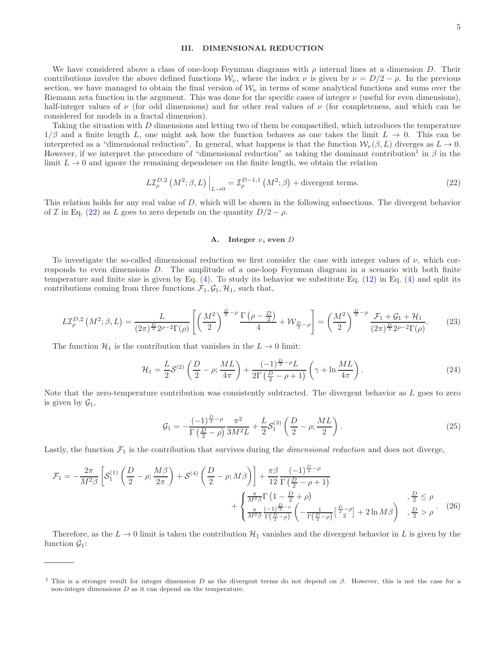## III. DIMENSIONAL REDUCTION

We have considered above a class of one-loop Feynman diagrams with  $\rho$  internal lines at a dimension D. Their contributions involve the above defined functions  $W_{\nu}$ , where the index  $\nu$  is given by  $\nu = D/2 - \rho$ . In the previous section, we have managed to obtain the final version of  $W_{\nu}$  in terms of some analytical functions and sums over the Riemann zeta function in the argument. This was done for the specific cases of integer  $\nu$  (useful for even dimensions), half-integer values of  $\nu$  (for odd dimensions) and for other real values of  $\nu$  (for completeness, and which can be considered for models in a fractal dimension).

Taking the situation with D dimensions and letting two of them be compactified, which introduces the temperature  $1/\beta$  and a finite length L, one might ask how the function behaves as one takes the limit  $L \to 0$ . This can be interpreted as a "dimensional reduction". In general, what happens is that the function  $W_{\nu}(\beta, L)$  diverges as  $L \to 0$ . However, if we interpret the procedure of "dimensional reduction" as taking the dominant contribution<sup>1</sup> in  $\beta$  in the limit  $L \to 0$  and ignore the remaining dependence on the finite length, we obtain the relation

<span id="page-4-0"></span>
$$
L\mathcal{I}_{\rho}^{D,2}\left(M^2;\beta,L\right)\Big|_{L\to 0} = \mathcal{I}_{\rho}^{D-1,1}\left(M^2;\beta\right) + \text{divergent terms.}\tag{22}
$$

This relation holds for any real value of D, which will be shown in the following subsections. The divergent behavior of I in Eq. [\(22\)](#page-4-0) as L goes to zero depends on the quantity  $D/2 - \rho$ .

### A. Integer  $\nu$ , even D

To investigate the so-called dimensional reduction we first consider the case with integer values of  $\nu$ , which corresponds to even dimensions D. The amplitude of a one-loop Feynman diagram in a scenario with both finite temperature and finite size is given by Eq.  $(4)$ . To study its behavior we substitute Eq.  $(12)$  in Eq.  $(4)$  and split its contributions coming from three functions  $\mathcal{F}_1, \mathcal{G}_1, \mathcal{H}_1$ , such that,

$$
LT_{\rho}^{D,2}\left(M^{2};\beta,L\right) = \frac{L}{(2\pi)^{\frac{D}{2}}2^{\rho-2}\Gamma(\rho)}\left[\left(\frac{M^{2}}{2}\right)^{\frac{D}{2}-\rho}\frac{\Gamma\left(\rho-\frac{D}{2}\right)}{4} + \mathcal{W}_{\frac{D}{2}-\rho}\right] = \left(\frac{M^{2}}{2}\right)^{\frac{D}{2}-\rho}\frac{\mathcal{F}_{1}+\mathcal{G}_{1}+\mathcal{H}_{1}}{(2\pi)^{\frac{D}{2}}2^{\rho-2}\Gamma(\rho)}.\tag{23}
$$

The function  $\mathcal{H}_1$  is the contribution that vanishes in the  $L \to 0$  limit:

$$
\mathcal{H}_1 = \frac{L}{2} \mathcal{S}^{(2)} \left( \frac{D}{2} - \rho; \frac{ML}{4\pi} \right) + \frac{(-1)^{\frac{D}{2} - \rho} L}{2\Gamma(\frac{D}{2} - \rho + 1)} \left( \gamma + \ln \frac{ML}{4\pi} \right). \tag{24}
$$

Note that the zero-temperature contribution was consistently subtracted. The divergent behavior as L goes to zero is given by  $\mathcal{G}_1$ ,

$$
\mathcal{G}_1 = -\frac{(-1)^{\frac{D}{2}-\rho}}{\Gamma(\frac{D}{2}-\rho)} \frac{\pi^2}{3M^2 L} + \frac{L}{2} \mathcal{S}_1^{(3)} \left(\frac{D}{2}-\rho; \frac{ML}{2}\right). \tag{25}
$$

Lastly, the function  $\mathcal{F}_1$  is the contribution that survives during the *dimensional reduction* and does not diverge,

$$
\mathcal{F}_1 = -\frac{2\pi}{M^2\beta} \left[ \mathcal{S}_1^{(1)} \left( \frac{D}{2} - \rho; \frac{M\beta}{2\pi} \right) + \mathcal{S}^{(4)} \left( \frac{D}{2} - \rho; M\beta \right) \right] + \frac{\pi\beta}{12} \frac{(-1)^{\frac{D}{2} - \rho}}{\Gamma(\frac{D}{2} - \rho + 1)} + \begin{cases} \frac{\pi}{M^2\beta} \Gamma\left(1 - \frac{D}{2} + \rho\right) & , \frac{D}{2} \le \rho \\ \frac{\pi}{M^2\beta} \Gamma\left(\frac{D}{2} - \rho\right) & , \frac{D}{2} > \rho \end{cases}, \frac{D}{2} > \rho. \tag{26}
$$

Therefore, as the  $L \to 0$  limit is taken the contribution  $\mathcal{H}_1$  vanishes and the divergent behavior in L is given by the function  $\mathcal{G}_1$ :

<sup>&</sup>lt;sup>1</sup> This is a stronger result for integer dimension D as the divergent terms do not depend on  $\beta$ . However, this is not the case for a non-integer dimensions D as it can depend on the temperature.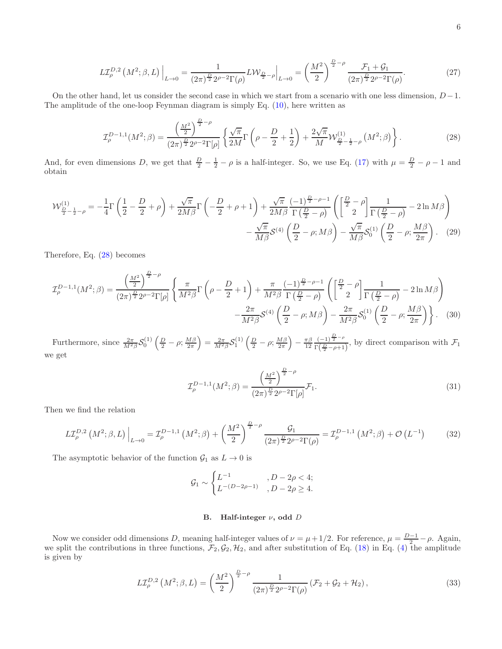$$
L\mathcal{I}_{\rho}^{D,2}\left(M^{2};\beta,L\right)\Big|_{L\to 0} = \frac{1}{(2\pi)^{\frac{D}{2}}2^{\rho-2}\Gamma(\rho)}L\mathcal{W}_{\frac{D}{2}-\rho}\Big|_{L\to 0} = \left(\frac{M^{2}}{2}\right)^{\frac{D}{2}-\rho}\frac{\mathcal{F}_{1}+\mathcal{G}_{1}}{(2\pi)^{\frac{D}{2}}2^{\rho-2}\Gamma(\rho)}.\tag{27}
$$

On the other hand, let us consider the second case in which we start from a scenario with one less dimension,  $D-1$ . The amplitude of the one-loop Feynman diagram is simply Eq. [\(10\)](#page-2-1), here written as

<span id="page-5-0"></span>
$$
\mathcal{I}_{\rho}^{D-1,1}(M^2;\beta) = \frac{\left(\frac{M^2}{2}\right)^{\frac{D}{2}-\rho}}{(2\pi)^{\frac{D}{2}}2^{\rho-2}\Gamma[\rho]} \left\{ \frac{\sqrt{\pi}}{2M} \Gamma\left(\rho - \frac{D}{2} + \frac{1}{2}\right) + \frac{2\sqrt{\pi}}{M} \mathcal{W}_{\frac{D}{2}-\frac{1}{2}-\rho}^{(1)}\left(M^2;\beta\right) \right\}.
$$
 (28)

And, for even dimensions D, we get that  $\frac{D}{2} - \frac{1}{2} - \rho$  is a half-integer. So, we use Eq. [\(17\)](#page-3-0) with  $\mu = \frac{D}{2} - \rho - 1$  and obtain

$$
\mathcal{W}_{\frac{D}{2}-\frac{1}{2}-\rho}^{(1)} = -\frac{1}{4}\Gamma\left(\frac{1}{2}-\frac{D}{2}+\rho\right) + \frac{\sqrt{\pi}}{2M\beta}\Gamma\left(-\frac{D}{2}+\rho+1\right) + \frac{\sqrt{\pi}}{2M\beta}\frac{(-1)^{\frac{D}{2}-\rho-1}}{\Gamma\left(\frac{D}{2}-\rho\right)}\left(\left[\frac{\frac{D}{2}-\rho}{2}\right]\frac{1}{\Gamma\left(\frac{D}{2}-\rho\right)} - 2\ln M\beta\right) - \frac{\sqrt{\pi}}{M\beta}\mathcal{S}^{(4)}\left(\frac{D}{2}-\rho;M\beta\right) - \frac{\sqrt{\pi}}{M\beta}\mathcal{S}^{(1)}_0\left(\frac{D}{2}-\rho;\frac{M\beta}{2\pi}\right). (29)
$$

Therefore, Eq. [\(28\)](#page-5-0) becomes

$$
\mathcal{I}_{\rho}^{D-1,1}(M^{2};\beta) = \frac{\left(\frac{M^{2}}{2}\right)^{\frac{D}{2}-\rho}}{(2\pi)^{\frac{D}{2}}2^{\rho-2}\Gamma[\rho]} \left\{ \frac{\pi}{M^{2}\beta} \Gamma\left(\rho - \frac{D}{2} + 1\right) + \frac{\pi}{M^{2}\beta} \frac{(-1)^{\frac{D}{2}-\rho-1}}{\Gamma\left(\frac{D}{2}-\rho\right)} \left(\frac{\left[\frac{D}{2}-\rho\right]}{2}\right) \frac{1}{\Gamma\left(\frac{D}{2}-\rho\right)} - 2\ln M\beta \right) - \frac{2\pi}{M^{2}\beta} \mathcal{S}^{(4)}\left(\frac{D}{2}-\rho;M\beta\right) - \frac{2\pi}{M^{2}\beta} \mathcal{S}_{0}^{(1)}\left(\frac{D}{2}-\rho; \frac{M\beta}{2\pi}\right) \right\}.
$$
 (30)

Furthermore, since  $\frac{2\pi}{M^2 \beta} S_0^{(1)} \left( \frac{D}{2} - \rho; \frac{M\beta}{2\pi} \right) = \frac{2\pi}{M^2 \beta} S_1^{(1)} \left( \frac{D}{2} - \rho; \frac{M\beta}{2\pi} \right) - \frac{\pi \beta}{12}$  $\frac{\pi\beta}{12} \frac{(-1)^{\frac{D}{2}-\rho}}{\Gamma(\frac{D}{2}-\rho+1)}$  $\frac{(-1)^2}{\Gamma(\frac{D}{2}-\rho+1)}$ , by direct comparison with  $\mathcal{F}_1$ we get

$$
\mathcal{I}_{\rho}^{D-1,1}(M^2;\beta) = \frac{\left(\frac{M^2}{2}\right)^{\frac{D}{2}-\rho}}{(2\pi)^{\frac{D}{2}}2^{\rho-2}\Gamma[\rho]}\mathcal{F}_1.
$$
\n(31)

Then we find the relation

$$
L\mathcal{I}_{\rho}^{D,2}\left(M^{2};\beta,L\right)\Big|_{L\to 0} = \mathcal{I}_{\rho}^{D-1,1}\left(M^{2};\beta\right) + \left(\frac{M^{2}}{2}\right)^{\frac{D}{2}-\rho} \frac{\mathcal{G}_{1}}{(2\pi)^{\frac{D}{2}}2^{\rho-2}\Gamma(\rho)} = \mathcal{I}_{\rho}^{D-1,1}\left(M^{2};\beta\right) + \mathcal{O}\left(L^{-1}\right) \tag{32}
$$

The asymptotic behavior of the function  $\mathcal{G}_1$  as  $L \to 0$  is

$$
\mathcal{G}_1 \sim \begin{cases} L^{-1} & , D - 2\rho < 4; \\ L^{-(D-2\rho-1)} & , D - 2\rho \ge 4. \end{cases}
$$

# B. Half-integer  $\nu$ , odd D

Now we consider odd dimensions D, meaning half-integer values of  $\nu = \mu + 1/2$ . For reference,  $\mu = \frac{D-1}{2} - \rho$ . Again, we split the contributions in three functions,  $\mathcal{F}_2, \mathcal{G}_2, \mathcal{H}_2$ , and after substitution of Eq. [\(18\)](#page-3-1) in Eq. [\(4\)](#page-1-4) the amplitude is given by

$$
L\mathcal{I}_{\rho}^{D,2}\left(M^{2};\beta,L\right) = \left(\frac{M^{2}}{2}\right)^{\frac{D}{2}-\rho} \frac{1}{(2\pi)^{\frac{D}{2}}2^{\rho-2}\Gamma(\rho)}\left(\mathcal{F}_{2}+\mathcal{G}_{2}+\mathcal{H}_{2}\right),\tag{33}
$$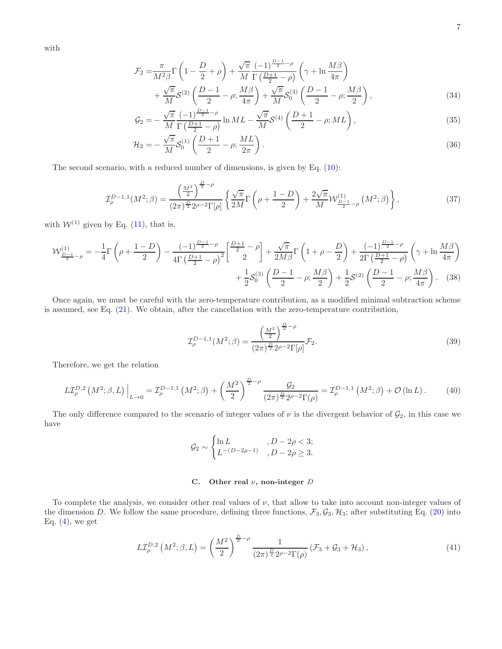with

$$
\mathcal{F}_2 = \frac{\pi}{M^2 \beta} \Gamma\left(1 - \frac{D}{2} + \rho\right) + \frac{\sqrt{\pi}}{M} \frac{(-1)^{\frac{D-1}{2} - \rho}}{\Gamma\left(\frac{D+1}{2} - \rho\right)} \left(\gamma + \ln \frac{M\beta}{4\pi}\right) + \frac{\sqrt{\pi}}{M} \mathcal{S}^{(2)}\left(\frac{D-1}{2} - \rho; \frac{M\beta}{4\pi}\right) + \frac{\sqrt{\pi}}{M} \mathcal{S}_0^{(3)}\left(\frac{D-1}{2} - \rho; \frac{M\beta}{2}\right),\tag{34}
$$

$$
\mathcal{G}_2 = -\frac{\sqrt{\pi}}{M} \frac{(-1)^{\frac{D-1}{2}-\rho}}{\Gamma(\frac{D+1}{2}-\rho)} \ln ML - \frac{\sqrt{\pi}}{M} \mathcal{S}^{(4)}\left(\frac{D+1}{2}-\rho; ML\right),\tag{35}
$$

$$
\mathcal{H}_2 = -\frac{\sqrt{\pi}}{M} S_0^{(1)} \left( \frac{D+1}{2} - \rho; \frac{ML}{2\pi} \right). \tag{36}
$$

The second scenario, with a reduced number of dimensions, is given by Eq. [\(10\)](#page-2-1):

$$
\mathcal{I}_{\rho}^{D-1,1}(M^2;\beta) = \frac{\left(\frac{M^2}{2}\right)^{\frac{D}{2}-\rho}}{(2\pi)^{\frac{D}{2}}2^{\rho-2}\Gamma[\rho]} \left\{ \frac{\sqrt{\pi}}{2M} \Gamma\left(\rho + \frac{1-D}{2}\right) + \frac{2\sqrt{\pi}}{M} \mathcal{W}_{\frac{D-1}{2}-\rho}^{(1)}\left(M^2;\beta\right) \right\},\tag{37}
$$

with  $W^{(1)}$  given by Eq. [\(11\)](#page-2-3), that is,

$$
\mathcal{W}_{\frac{D-1}{2}-\rho}^{(1)} = -\frac{1}{4}\Gamma\left(\rho + \frac{1-D}{2}\right) - \frac{(-1)^{\frac{D-1}{2}-\rho}}{4\Gamma\left(\frac{D+1}{2}-\rho\right)^2} \left[\frac{\frac{D+1}{2}-\rho}{2}\right] + \frac{\sqrt{\pi}}{2M\beta}\Gamma\left(1+\rho-\frac{D}{2}\right) + \frac{(-1)^{\frac{D-1}{2}-\rho}}{2\Gamma\left(\frac{D+1}{2}-\rho\right)} \left(\gamma + \ln\frac{M\beta}{4\pi}\right) + \frac{1}{2}\mathcal{S}_0^{(3)}\left(\frac{D-1}{2}-\rho;\frac{M\beta}{2}\right) + \frac{1}{2}\mathcal{S}^{(2)}\left(\frac{D-1}{2}-\rho;\frac{M\beta}{4\pi}\right). \tag{38}
$$

Once again, we must be careful with the zero-temperature contribution, as a modified minimal subtraction scheme is assumed, see Eq. [\(21\)](#page-3-2). We obtain, after the cancellation with the zero-temperature contribution,

$$
\mathcal{I}_{\rho}^{D-1,1}(M^2;\beta) = \frac{\left(\frac{M^2}{2}\right)^{\frac{D}{2}-\rho}}{(2\pi)^{\frac{D}{2}}2^{\rho-2}\Gamma[\rho]} \mathcal{F}_2.
$$
\n(39)

Therefore, we get the relation

$$
L\mathcal{I}_{\rho}^{D,2}\left(M^{2};\beta,L\right)\Big|_{L\to 0} = \mathcal{I}_{\rho}^{D-1,1}\left(M^{2};\beta\right) + \left(\frac{M^{2}}{2}\right)^{\frac{D}{2}-\rho}\frac{\mathcal{G}_{2}}{(2\pi)^{\frac{D}{2}}2^{\rho-2}\Gamma(\rho)} = \mathcal{I}_{\rho}^{D-1,1}\left(M^{2};\beta\right) + \mathcal{O}\left(\ln L\right). \tag{40}
$$

The only difference compared to the scenario of integer values of  $\nu$  is the divergent behavior of  $\mathcal{G}_2$ , in this case we have

$$
\mathcal{G}_2 \sim \begin{cases} \ln L, & D - 2\rho < 3; \\ L^{-(D-2\rho-1)}, & D - 2\rho \geq 3. \end{cases}
$$

# C. Other real  $\nu$ , non-integer D

To complete the analysis, we consider other real values of  $\nu$ , that allow to take into account non-integer values of the dimension D. We follow the same procedure, defining three functions,  $\mathcal{F}_3, \mathcal{G}_3, \mathcal{H}_3$ ; after substituting Eq. [\(20\)](#page-3-3) into Eq.  $(4)$ , we get

$$
LT_{\rho}^{D,2}\left(M^2;\beta,L\right) = \left(\frac{M^2}{2}\right)^{\frac{D}{2}-\rho} \frac{1}{(2\pi)^{\frac{D}{2}} 2^{\rho-2} \Gamma(\rho)} \left(\mathcal{F}_3 + \mathcal{G}_3 + \mathcal{H}_3\right),\tag{41}
$$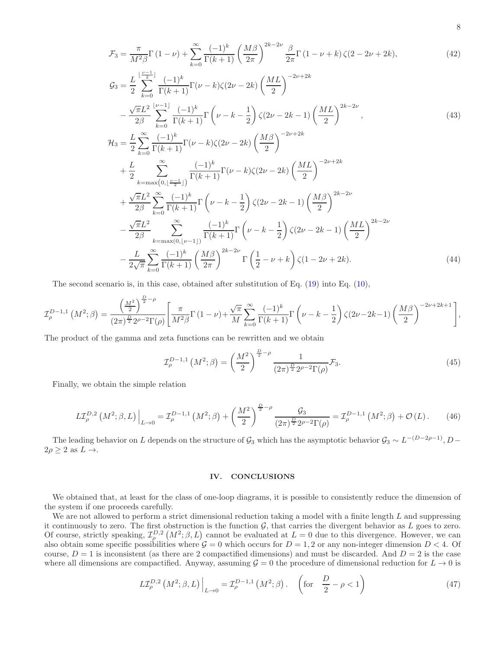$$
\mathcal{F}_3 = \frac{\pi}{M^2 \beta} \Gamma(1 - \nu) + \sum_{k=0}^{\infty} \frac{(-1)^k}{\Gamma(k+1)} \left(\frac{M\beta}{2\pi}\right)^{2k-2\nu} \frac{\beta}{2\pi} \Gamma(1 - \nu + k) \zeta(2 - 2\nu + 2k),
$$
\n
$$
\mathcal{G}_3 = \frac{L}{2} \sum_{k=0}^{\lfloor \frac{\nu-1}{2} \rfloor} \frac{(-1)^k}{\Gamma(k+1)} \Gamma(\nu - k) \zeta(2\nu - 2k) \left(\frac{ML}{2}\right)^{-2\nu + 2k}
$$
\n
$$
\mathcal{F}_3 = \frac{L}{2} \sum_{k=0}^{\lfloor \frac{\nu-1}{2} \rfloor} \frac{(-1)^k}{\Gamma(k+1)} \Gamma(\nu - k) \zeta(2\nu - 2k) \left(\frac{ML}{2}\right)^{-2\nu + 2k}
$$
\n(42)

$$
-\frac{\sqrt{\pi}L^2}{2\beta} \sum_{k=0}^{\lfloor \nu - 1 \rfloor} \frac{(-1)^k}{\Gamma(k+1)} \Gamma\left(\nu - k - \frac{1}{2}\right) \zeta(2\nu - 2k - 1) \left(\frac{ML}{2}\right)^{2k - 2\nu},\tag{43}
$$

$$
\mathcal{H}_{3} = \frac{L}{2} \sum_{k=0}^{\infty} \frac{(-1)^{k}}{\Gamma(k+1)} \Gamma(\nu-k) \zeta(2\nu-2k) \left(\frac{M\beta}{2}\right)^{-2\nu+2k} \n+ \frac{L}{2} \sum_{k=\max(0, \lfloor \frac{\nu-1}{2} \rfloor)}^{\infty} \frac{(-1)^{k}}{\Gamma(k+1)} \Gamma(\nu-k) \zeta(2\nu-2k) \left(\frac{ML}{2}\right)^{-2\nu+2k} \n+ \frac{\sqrt{\pi}L^{2}}{2\beta} \sum_{k=0}^{\infty} \frac{(-1)^{k}}{\Gamma(k+1)} \Gamma\left(\nu-k-\frac{1}{2}\right) \zeta(2\nu-2k-1) \left(\frac{M\beta}{2}\right)^{2k-2\nu} \n- \frac{\sqrt{\pi}L^{2}}{2\beta} \sum_{k=\max(0, \lfloor \nu-1 \rfloor)}^{\infty} \frac{(-1)^{k}}{\Gamma(k+1)} \Gamma\left(\nu-k-\frac{1}{2}\right) \zeta(2\nu-2k-1) \left(\frac{ML}{2}\right)^{2k-2\nu} \n- \frac{L}{2\sqrt{\pi}} \sum_{k=0}^{\infty} \frac{(-1)^{k}}{\Gamma(k+1)} \left(\frac{M\beta}{2\pi}\right)^{2k-2\nu} \Gamma\left(\frac{1}{2}-\nu+k\right) \zeta(1-2\nu+2k).
$$
\n(44)

The second scenario is, in this case, obtained after substitution of Eq. [\(19\)](#page-3-4) into Eq. [\(10\)](#page-2-1),

$$
\mathcal{I}_{\rho}^{D-1,1}\left(M^2;\beta\right) = \frac{\left(\frac{M^2}{2}\right)^{\frac{D}{2}-\rho}}{(2\pi)^{\frac{D}{2}}2^{\rho-2}\Gamma(\rho)} \left[\frac{\pi}{M^2\beta}\Gamma\left(1-\nu\right) + \frac{\sqrt{\pi}}{M}\sum_{k=0}^{\infty}\frac{(-1)^k}{\Gamma(k+1)}\Gamma\left(\nu-k-\frac{1}{2}\right)\zeta(2\nu-2k-1)\left(\frac{M\beta}{2}\right)^{-2\nu+2k+1}\right],
$$

The product of the gamma and zeta functions can be rewritten and we obtain

$$
\mathcal{I}_{\rho}^{D-1,1}\left(M^2;\beta\right) = \left(\frac{M^2}{2}\right)^{\frac{D}{2}-\rho} \frac{1}{(2\pi)^{\frac{D}{2}} 2^{\rho-2} \Gamma(\rho)} \mathcal{F}_3. \tag{45}
$$

Finally, we obtain the simple relation

$$
L\mathcal{I}_{\rho}^{D,2}\left(M^{2};\beta,L\right)\Big|_{L\to 0} = \mathcal{I}_{\rho}^{D-1,1}\left(M^{2};\beta\right) + \left(\frac{M^{2}}{2}\right)^{\frac{D}{2}-\rho}\frac{\mathcal{G}_{3}}{(2\pi)^{\frac{D}{2}}2^{\rho-2}\Gamma(\rho)} = \mathcal{I}_{\rho}^{D-1,1}\left(M^{2};\beta\right) + \mathcal{O}\left(L\right). \tag{46}
$$

The leading behavior on L depends on the structure of  $\mathcal{G}_3$  which has the asymptotic behavior  $\mathcal{G}_3 \sim L^{-(D-2\rho-1)}$ ,  $D 2\rho \geq 2$  as  $L \rightarrow$ .

## IV. CONCLUSIONS

We obtained that, at least for the class of one-loop diagrams, it is possible to consistently reduce the dimension of the system if one proceeds carefully.

We are not allowed to perform a strict dimensional reduction taking a model with a finite length L and suppressing it continuously to zero. The first obstruction is the function  $G$ , that carries the divergent behavior as  $L$  goes to zero. Of course, strictly speaking,  $\mathcal{I}_{\rho}^{D,2}(M^2;\beta,L)$  cannot be evaluated at  $L=0$  due to this divergence. However, we can also obtain some specific possibilities where  $\mathcal{G} = 0$  which occurs for  $D = 1, 2$  or any non-integer dimension  $D < 4$ . Of course,  $D = 1$  is inconsistent (as there are 2 compactified dimensions) and must be discarded. And  $D = 2$  is the case where all dimensions are compactified. Anyway, assuming  $G = 0$  the procedure of dimensional reduction for  $L \to 0$  is

<span id="page-7-0"></span>
$$
L\mathcal{I}_{\rho}^{D,2}\left(M^{2};\beta,L\right)\Big|_{L\to 0} = \mathcal{I}_{\rho}^{D-1,1}\left(M^{2};\beta\right). \quad \left(\text{for } \frac{D}{2}-\rho<1\right) \tag{47}
$$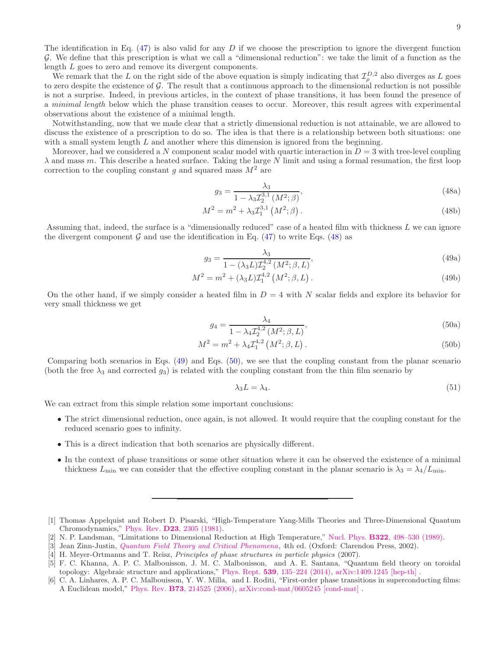The identification in Eq.  $(47)$  is also valid for any D if we choose the prescription to ignore the divergent function G. We define that this prescription is what we call a "dimensional reduction": we take the limit of a function as the length L goes to zero and remove its divergent components.

We remark that the L on the right side of the above equation is simply indicating that  $\mathcal{I}_{\rho}^{D,2}$  also diverges as L goes to zero despite the existence of  $G$ . The result that a continuous approach to the dimensional reduction is not possible is not a surprise. Indeed, in previous articles, in the context of phase transitions, it has been found the presence of a minimal length below which the phase transition ceases to occur. Moreover, this result agrees with experimental observations about the existence of a minimal length.

Notwithstanding, now that we made clear that a strictly dimensional reduction is not attainable, we are allowed to discuss the existence of a prescription to do so. The idea is that there is a relationship between both situations: one with a small system length  $L$  and another where this dimension is ignored from the beginning.

Moreover, had we considered a N component scalar model with quartic interaction in  $D = 3$  with tree-level coupling  $\lambda$  and mass m. This describe a heated surface. Taking the large N limit and using a formal resumation, the first loop correction to the coupling constant g and squared mass  $M^2$  are

<span id="page-8-6"></span>
$$
g_3 = \frac{\lambda_3}{1 - \lambda_3 Z_2^{3,1}(M^2; \beta)},\tag{48a}
$$

$$
M^2 = m^2 + \lambda_3 \mathcal{I}_1^{3,1} \left( M^2; \beta \right). \tag{48b}
$$

Assuming that, indeed, the surface is a "dimensionally reduced" case of a heated film with thickness L we can ignore the divergent component G and use the identification in Eq.  $(47)$  to write Eqs.  $(48)$  as

$$
g_3 = \frac{\lambda_3}{1 - (\lambda_3 L) \mathcal{I}_2^{4,2} (M^2; \beta, L)},
$$
\n(49a)

$$
M^{2} = m^{2} + (\lambda_{3}L)\mathcal{I}_{1}^{4,2} \left(M^{2}; \beta, L\right).
$$
\n(49b)

On the other hand, if we simply consider a heated film in  $D = 4$  with N scalar fields and explore its behavior for very small thickness we get

$$
g_4 = \frac{\lambda_4}{1 - \lambda_4 \mathcal{I}_2^{4,2} (M^2; \beta, L)},
$$
\n(50a)

$$
M^2 = m^2 + \lambda_4 T_1^{4,2} \left( M^2; \beta, L \right). \tag{50b}
$$

Comparing both scenarios in Eqs. [\(49\)](#page-8-7) and Eqs. [\(50\)](#page-8-8), we see that the coupling constant from the planar scenario (both the free  $\lambda_3$  and corrected  $g_3$ ) is related with the coupling constant from the thin film scenario by

<span id="page-8-8"></span><span id="page-8-7"></span>
$$
\lambda_3 L = \lambda_4. \tag{51}
$$

We can extract from this simple relation some important conclusions:

- The strict dimensional reduction, once again, is not allowed. It would require that the coupling constant for the reduced scenario goes to infinity.
- This is a direct indication that both scenarios are physically different.
- In the context of phase transitions or some other situation where it can be observed the existence of a minimal thickness  $L_{\text{min}}$  we can consider that the effective coupling constant in the planar scenario is  $\lambda_3 = \lambda_4/L_{\text{min}}$ .

<span id="page-8-0"></span><sup>[1]</sup> Thomas Appelquist and Robert D. Pisarski, "High-Temperature Yang-Mills Theories and Three-Dimensional Quantum Chromodynamics," Phys. Rev. D23[, 2305 \(1981\).](http://dx.doi.org/10.1103/PhysRevD.23.2305)

<span id="page-8-1"></span><sup>[2]</sup> N. P. Landsman, "Limitations to Dimensional Reduction at High Temperature," Nucl. Phys. B322[, 498–530 \(1989\).](http://dx.doi.org/ 10.1016/0550-3213(89)90424-0)

<span id="page-8-2"></span><sup>[3]</sup> Jean Zinn-Justin, *[Quantum Field Theory and Critical Phenomena](http://www.oxfordscholarship.com/view/10.1093/acprof:oso/9780198509233.001.0001/acprof-9780198509233)*, 4th ed. (Oxford: Clarendon Press, 2002).

<span id="page-8-3"></span><sup>[4]</sup> H. Meyer-Ortmanns and T. Reisz, *Principles of phase structures in particle physics* (2007).

<span id="page-8-4"></span><sup>[5]</sup> F. C. Khanna, A. P. C. Malbouisson, J. M. C. Malbouisson, and A. E. Santana, "Quantum field theory on toroidal topology: Algebraic structure and applications," Phys. Rept. 539[, 135–224 \(2014\),](http://dx.doi.org/10.1016/j.physrep.2014.02.002) [arXiv:1409.1245 \[hep-th\]](http://arxiv.org/abs/1409.1245) .

<span id="page-8-5"></span><sup>[6]</sup> C. A. Linhares, A. P. C. Malbouisson, Y. W. Milla, and I. Roditi, "First-order phase transitions in superconducting films: A Euclidean model," Phys. Rev. B73[, 214525 \(2006\),](http://dx.doi.org/10.1103/PhysRevB.73.214525) [arXiv:cond-mat/0605245 \[cond-mat\]](http://arxiv.org/abs/cond-mat/0605245) .